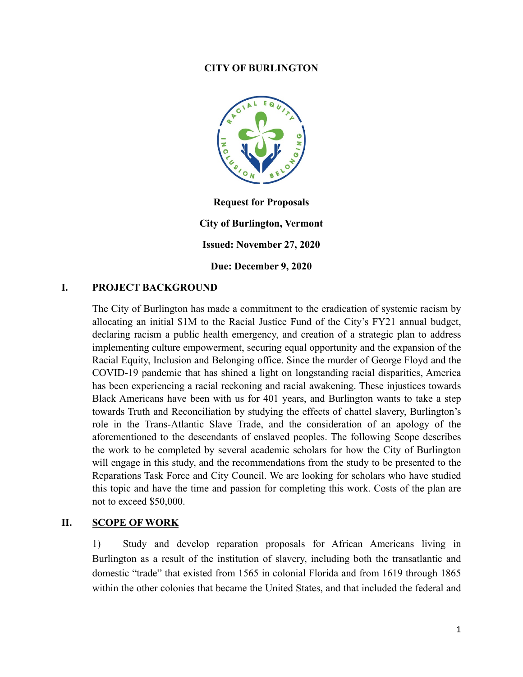#### **CITY OF BURLINGTON**



**Request for Proposals City of Burlington, Vermont Issued: November 27, 2020 Due: December 9, 2020**

#### **I. PROJECT BACKGROUND**

The City of Burlington has made a commitment to the eradication of systemic racism by allocating an initial \$1M to the Racial Justice Fund of the City's FY21 annual budget, declaring racism a public health emergency, and creation of a strategic plan to address implementing culture empowerment, securing equal opportunity and the expansion of the Racial Equity, Inclusion and Belonging office. Since the murder of George Floyd and the COVID-19 pandemic that has shined a light on longstanding racial disparities, America has been experiencing a racial reckoning and racial awakening. These injustices towards Black Americans have been with us for 401 years, and Burlington wants to take a step towards Truth and Reconciliation by studying the effects of chattel slavery, Burlington's role in the Trans-Atlantic Slave Trade, and the consideration of an apology of the aforementioned to the descendants of enslaved peoples. The following Scope describes the work to be completed by several academic scholars for how the City of Burlington will engage in this study, and the recommendations from the study to be presented to the Reparations Task Force and City Council. We are looking for scholars who have studied this topic and have the time and passion for completing this work. Costs of the plan are not to exceed \$50,000.

#### **II. SCOPE OF WORK**

1) Study and develop reparation proposals for African Americans living in Burlington as a result of the institution of slavery, including both the transatlantic and domestic "trade" that existed from 1565 in colonial Florida and from 1619 through 1865 within the other colonies that became the United States, and that included the federal and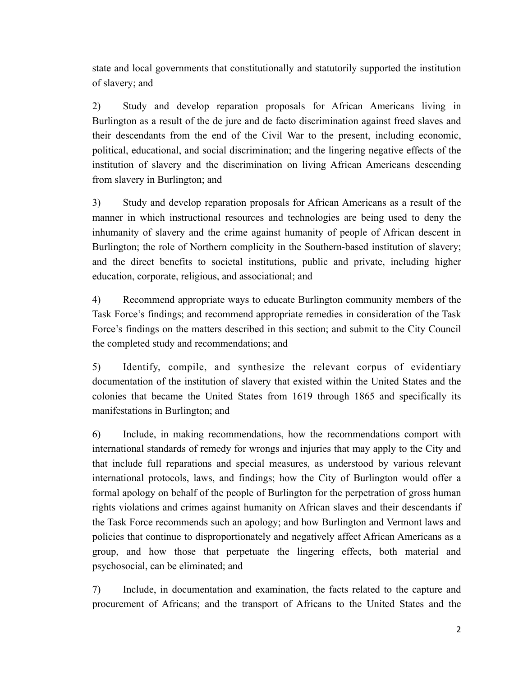state and local governments that constitutionally and statutorily supported the institution of slavery; and

2) Study and develop reparation proposals for African Americans living in Burlington as a result of the de jure and de facto discrimination against freed slaves and their descendants from the end of the Civil War to the present, including economic, political, educational, and social discrimination; and the lingering negative effects of the institution of slavery and the discrimination on living African Americans descending from slavery in Burlington; and

3) Study and develop reparation proposals for African Americans as a result of the manner in which instructional resources and technologies are being used to deny the inhumanity of slavery and the crime against humanity of people of African descent in Burlington; the role of Northern complicity in the Southern-based institution of slavery; and the direct benefits to societal institutions, public and private, including higher education, corporate, religious, and associational; and

4) Recommend appropriate ways to educate Burlington community members of the Task Force's findings; and recommend appropriate remedies in consideration of the Task Force's findings on the matters described in this section; and submit to the City Council the completed study and recommendations; and

5) Identify, compile, and synthesize the relevant corpus of evidentiary documentation of the institution of slavery that existed within the United States and the colonies that became the United States from 1619 through 1865 and specifically its manifestations in Burlington; and

6) Include, in making recommendations, how the recommendations comport with international standards of remedy for wrongs and injuries that may apply to the City and that include full reparations and special measures, as understood by various relevant international protocols, laws, and findings; how the City of Burlington would offer a formal apology on behalf of the people of Burlington for the perpetration of gross human rights violations and crimes against humanity on African slaves and their descendants if the Task Force recommends such an apology; and how Burlington and Vermont laws and policies that continue to disproportionately and negatively affect African Americans as a group, and how those that perpetuate the lingering effects, both material and psychosocial, can be eliminated; and

7) Include, in documentation and examination, the facts related to the capture and procurement of Africans; and the transport of Africans to the United States and the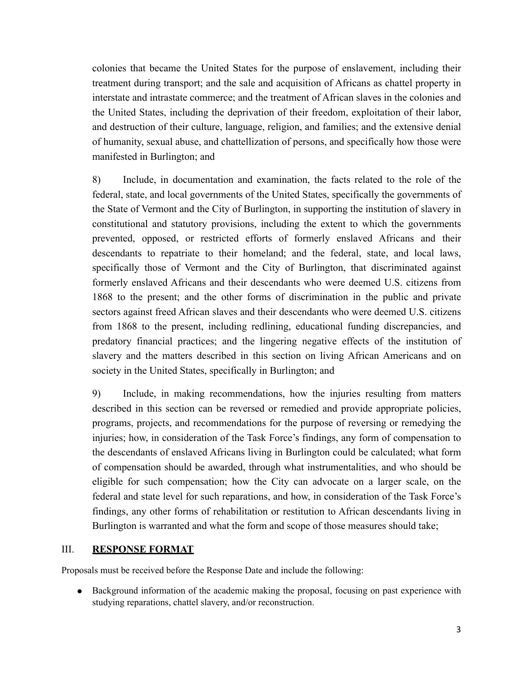colonies that became the United States for the purpose of enslavement, including their treatment during transport; and the sale and acquisition of Africans as chattel property in interstate and intrastate commerce; and the treatment of African slaves in the colonies and the United States, including the deprivation of their freedom, exploitation of their labor, and destruction of their culture, language, religion, and families; and the extensive denial of humanity, sexual abuse, and chattellization of persons, and specifically how those were manifested in Burlington; and

8) Include, in documentation and examination, the facts related to the role of the federal, state, and local governments of the United States, specifically the governments of the State of Vermont and the City of Burlington, in supporting the institution of slavery in constitutional and statutory provisions, including the extent to which the governments prevented, opposed, or restricted efforts of formerly enslaved Africans and their descendants to repatriate to their homeland; and the federal, state, and local laws, specifically those of Vermont and the City of Burlington, that discriminated against formerly enslaved Africans and their descendants who were deemed U.S. citizens from 1868 to the present; and the other forms of discrimination in the public and private sectors against freed African slaves and their descendants who were deemed U.S. citizens from 1868 to the present, including redlining, educational funding discrepancies, and predatory financial practices; and the lingering negative effects of the institution of slavery and the matters described in this section on living African Americans and on society in the United States, specifically in Burlington; and

9) Include, in making recommendations, how the injuries resulting from matters described in this section can be reversed or remedied and provide appropriate policies, programs, projects, and recommendations for the purpose of reversing or remedying the injuries; how, in consideration of the Task Force's findings, any form of compensation to the descendants of enslaved Africans living in Burlington could be calculated; what form of compensation should be awarded, through what instrumentalities, and who should be eligible for such compensation; how the City can advocate on a larger scale, on the federal and state level for such reparations, and how, in consideration of the Task Force's findings, any other forms of rehabilitation or restitution to African descendants living in Burlington is warranted and what the form and scope of those measures should take;

#### III. **RESPONSE FORMAT**

Proposals must be received before the Response Date and include the following:

● Background information of the academic making the proposal, focusing on past experience with studying reparations, chattel slavery, and/or reconstruction.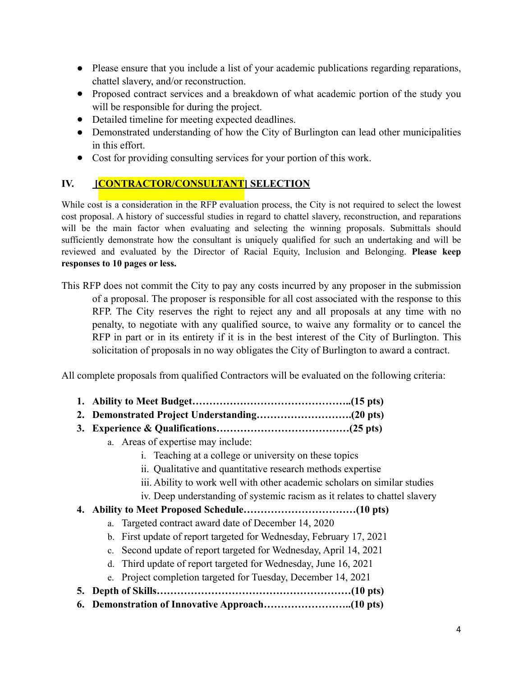- Please ensure that you include a list of your academic publications regarding reparations, chattel slavery, and/or reconstruction.
- Proposed contract services and a breakdown of what academic portion of the study you will be responsible for during the project.
- Detailed timeline for meeting expected deadlines.
- Demonstrated understanding of how the City of Burlington can lead other municipalities in this effort.
- Cost for providing consulting services for your portion of this work.

# **IV. [CONTRACTOR/CONSULTANT] SELECTION**

While cost is a consideration in the RFP evaluation process, the City is not required to select the lowest cost proposal. A history of successful studies in regard to chattel slavery, reconstruction, and reparations will be the main factor when evaluating and selecting the winning proposals. Submittals should sufficiently demonstrate how the consultant is uniquely qualified for such an undertaking and will be reviewed and evaluated by the Director of Racial Equity, Inclusion and Belonging. **Please keep responses to 10 pages or less.**

This RFP does not commit the City to pay any costs incurred by any proposer in the submission of a proposal. The proposer is responsible for all cost associated with the response to this RFP. The City reserves the right to reject any and all proposals at any time with no penalty, to negotiate with any qualified source, to waive any formality or to cancel the RFP in part or in its entirety if it is in the best interest of the City of Burlington. This solicitation of proposals in no way obligates the City of Burlington to award a contract.

All complete proposals from qualified Contractors will be evaluated on the following criteria:

- **1. Ability to Meet Budget………………………………………..(15 pts)**
- **2. Demonstrated Project Understanding……………………….(20 pts)**
- **3. Experience & Qualifications…………………………………(25 pts)**
	- a. Areas of expertise may include:
		- i. Teaching at a college or university on these topics
		- ii. Qualitative and quantitative research methods expertise
		- iii. Ability to work well with other academic scholars on similar studies
		- iv. Deep understanding of systemic racism as it relates to chattel slavery
- **4. Ability to Meet Proposed Schedule……………………………(10 pts)**
	- a. Targeted contract award date of December 14, 2020
	- b. First update of report targeted for Wednesday, February 17, 2021
	- c. Second update of report targeted for Wednesday, April 14, 2021
	- d. Third update of report targeted for Wednesday, June 16, 2021
	- e. Project completion targeted for Tuesday, December 14, 2021
- **5. Depth of Skills…………………………………………………(10 pts)**
- **6. Demonstration of Innovative Approach……………………..(10 pts)**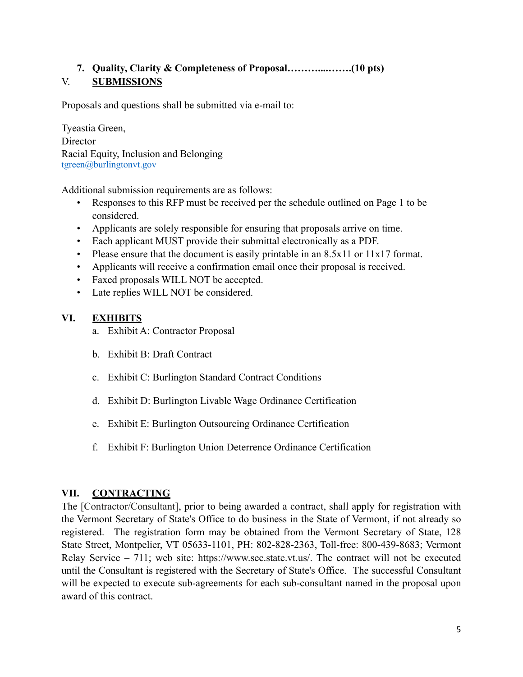# **7. Quality, Clarity & Completeness of Proposal………....…….(10 pts)** V. **SUBMISSIONS**

Proposals and questions shall be submitted via e-mail to:

Tyeastia Green, Director Racial Equity, Inclusion and Belonging [tgreen@burlingtonvt.gov](mailto:tgreen@burlingtonvt.gov)

Additional submission requirements are as follows:

- Responses to this RFP must be received per the schedule outlined on Page 1 to be considered.
- Applicants are solely responsible for ensuring that proposals arrive on time.
- Each applicant MUST provide their submittal electronically as a PDF.
- Please ensure that the document is easily printable in an 8.5x11 or 11x17 format.
- Applicants will receive a confirmation email once their proposal is received.
- Faxed proposals WILL NOT be accepted.
- Late replies WILL NOT be considered.

# **VI. EXHIBITS**

- a. Exhibit A: Contractor Proposal
- b. Exhibit B: Draft Contract
- c. Exhibit C: Burlington Standard Contract Conditions
- d. Exhibit D: Burlington Livable Wage Ordinance Certification
- e. Exhibit E: Burlington Outsourcing Ordinance Certification
- f. Exhibit F: Burlington Union Deterrence Ordinance Certification

### **VII. CONTRACTING**

The [Contractor/Consultant], prior to being awarded a contract, shall apply for registration with the Vermont Secretary of State's Office to do business in the State of Vermont, if not already so registered. The registration form may be obtained from the Vermont Secretary of State, 128 State Street, Montpelier, VT 05633-1101, PH: 802-828-2363, Toll-free: 800-439-8683; Vermont Relay Service – 711; web site: <https://www.sec.state.vt.us/>. The contract will not be executed until the Consultant is registered with the Secretary of State's Office. The successful Consultant will be expected to execute sub-agreements for each sub-consultant named in the proposal upon award of this contract.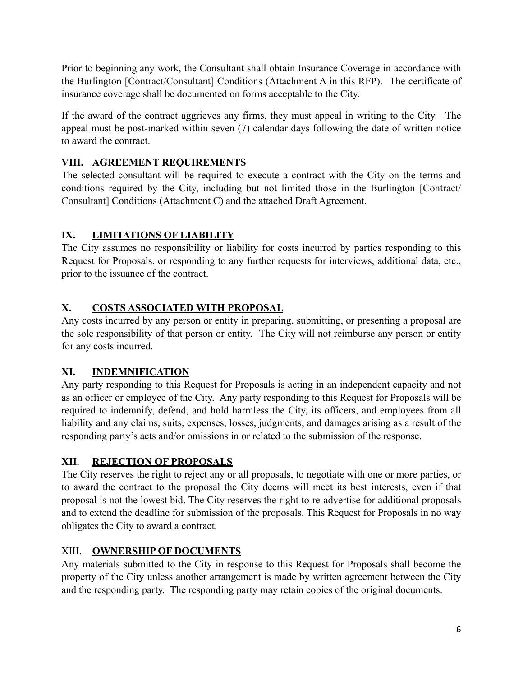Prior to beginning any work, the Consultant shall obtain Insurance Coverage in accordance with the Burlington [Contract/Consultant] Conditions (Attachment A in this RFP). The certificate of insurance coverage shall be documented on forms acceptable to the City.

If the award of the contract aggrieves any firms, they must appeal in writing to the City. The appeal must be post-marked within seven (7) calendar days following the date of written notice to award the contract.

# **VIII. AGREEMENT REQUIREMENTS**

The selected consultant will be required to execute a contract with the City on the terms and conditions required by the City, including but not limited those in the Burlington [Contract/ Consultant] Conditions (Attachment C) and the attached Draft Agreement.

# **IX. LIMITATIONS OF LIABILITY**

The City assumes no responsibility or liability for costs incurred by parties responding to this Request for Proposals, or responding to any further requests for interviews, additional data, etc., prior to the issuance of the contract.

# **X. COSTS ASSOCIATED WITH PROPOSAL**

Any costs incurred by any person or entity in preparing, submitting, or presenting a proposal are the sole responsibility of that person or entity. The City will not reimburse any person or entity for any costs incurred.

### **XI. INDEMNIFICATION**

Any party responding to this Request for Proposals is acting in an independent capacity and not as an officer or employee of the City. Any party responding to this Request for Proposals will be required to indemnify, defend, and hold harmless the City, its officers, and employees from all liability and any claims, suits, expenses, losses, judgments, and damages arising as a result of the responding party's acts and/or omissions in or related to the submission of the response.

### **XII. REJECTION OF PROPOSALS**

The City reserves the right to reject any or all proposals, to negotiate with one or more parties, or to award the contract to the proposal the City deems will meet its best interests, even if that proposal is not the lowest bid. The City reserves the right to re-advertise for additional proposals and to extend the deadline for submission of the proposals. This Request for Proposals in no way obligates the City to award a contract.

### XIII. **OWNERSHIP OF DOCUMENTS**

Any materials submitted to the City in response to this Request for Proposals shall become the property of the City unless another arrangement is made by written agreement between the City and the responding party. The responding party may retain copies of the original documents.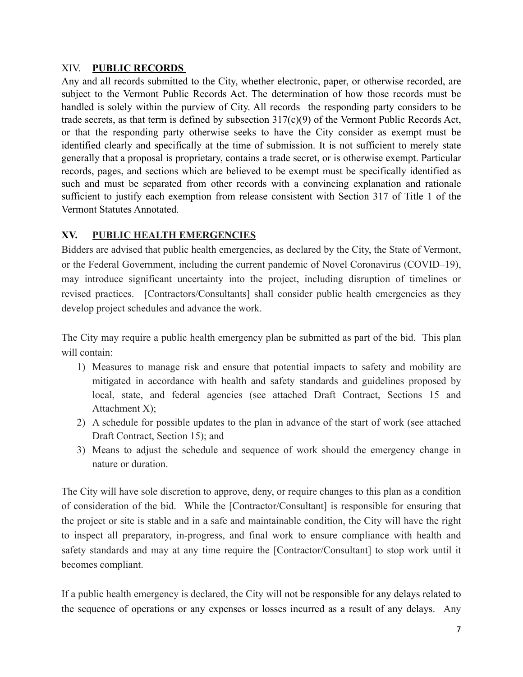#### XIV. **PUBLIC RECORDS**

Any and all records submitted to the City, whether electronic, paper, or otherwise recorded, are subject to the Vermont Public Records Act. The determination of how those records must be handled is solely within the purview of City. All records the responding party considers to be trade secrets, as that term is defined by subsection 317(c)(9) of the Vermont Public Records Act, or that the responding party otherwise seeks to have the City consider as exempt must be identified clearly and specifically at the time of submission. It is not sufficient to merely state generally that a proposal is proprietary, contains a trade secret, or is otherwise exempt. Particular records, pages, and sections which are believed to be exempt must be specifically identified as such and must be separated from other records with a convincing explanation and rationale sufficient to justify each exemption from release consistent with Section 317 of Title 1 of the Vermont Statutes Annotated.

### **XV. PUBLIC HEALTH EMERGENCIES**

Bidders are advised that public health emergencies, as declared by the City, the State of Vermont, or the Federal Government, including the current pandemic of Novel Coronavirus (COVID–19), may introduce significant uncertainty into the project, including disruption of timelines or revised practices. [Contractors/Consultants] shall consider public health emergencies as they develop project schedules and advance the work.

The City may require a public health emergency plan be submitted as part of the bid. This plan will contain:

- 1) Measures to manage risk and ensure that potential impacts to safety and mobility are mitigated in accordance with health and safety standards and guidelines proposed by local, state, and federal agencies (see attached Draft Contract, Sections 15 and Attachment X);
- 2) A schedule for possible updates to the plan in advance of the start of work (see attached Draft Contract, Section 15); and
- 3) Means to adjust the schedule and sequence of work should the emergency change in nature or duration.

The City will have sole discretion to approve, deny, or require changes to this plan as a condition of consideration of the bid. While the [Contractor/Consultant] is responsible for ensuring that the project or site is stable and in a safe and maintainable condition, the City will have the right to inspect all preparatory, in-progress, and final work to ensure compliance with health and safety standards and may at any time require the [Contractor/Consultant] to stop work until it becomes compliant.

If a public health emergency is declared, the City will not be responsible for any delays related to the sequence of operations or any expenses or losses incurred as a result of any delays. Any